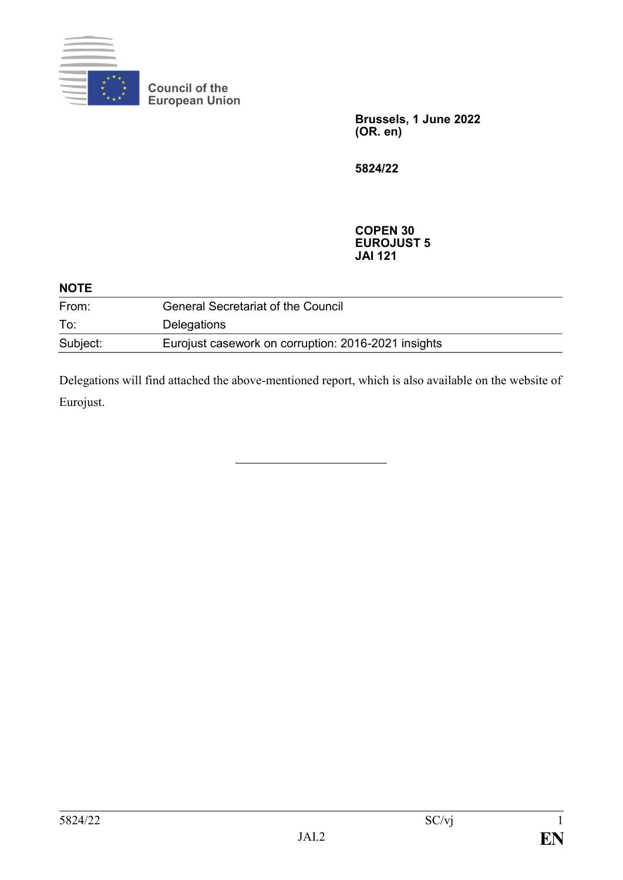

 $\cdot\cdot$   $\sim$   $\frac{1}{\sqrt{2}}$ 

**Council of the European Union**

> **Brussels, 1 June 2022 (OR. en)**

**5824/22**

### **COPEN 30 EUROJUST 5 JAI 121**

| <b>NOIE</b> |                                                     |  |
|-------------|-----------------------------------------------------|--|
| From:       | <b>General Secretariat of the Council</b>           |  |
| To:         | <b>Delegations</b>                                  |  |
| Subject:    | Eurojust casework on corruption: 2016-2021 insights |  |

Delegations will find attached the above-mentioned report, which is also available on the website of Eurojust.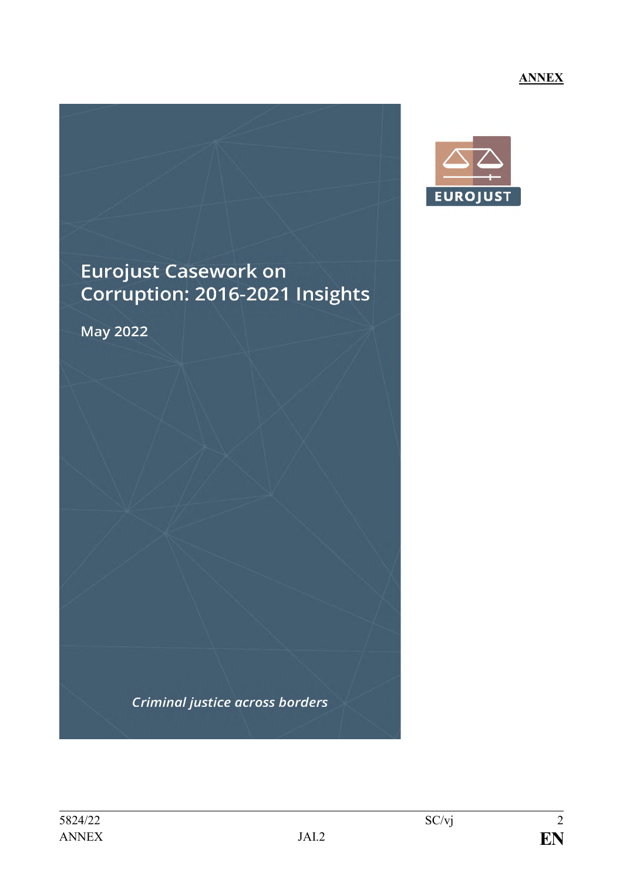# **ANNEX**



# **Eurojust Casework on** Corruption: 2016-2021 Insights

May 2022

**Criminal justice across borders**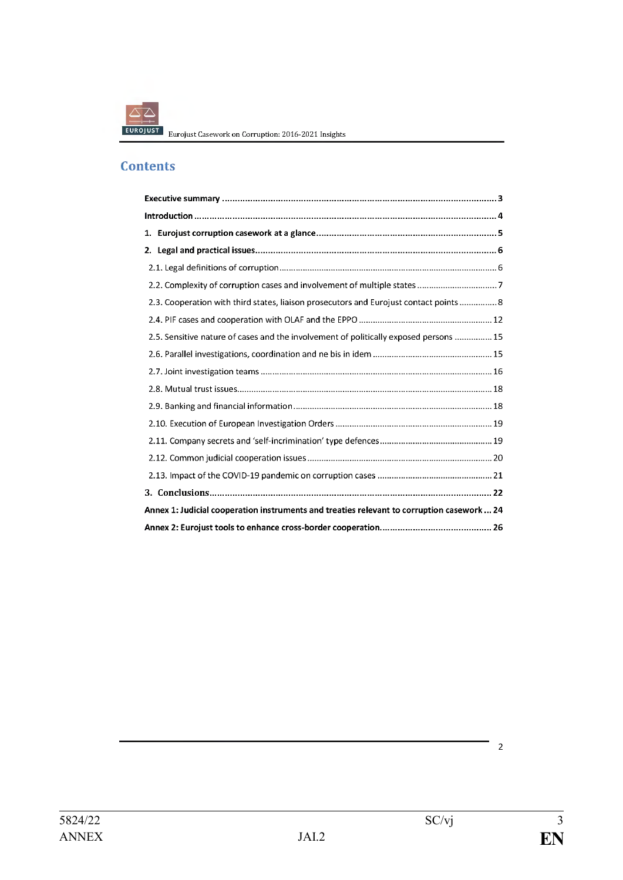

ROJUST Eurojust Casework on Corruption: 2016-2021 Insights

# **Contents**

| 1.                                                                                         |                                                                                        |  |
|--------------------------------------------------------------------------------------------|----------------------------------------------------------------------------------------|--|
| 2.                                                                                         |                                                                                        |  |
|                                                                                            |                                                                                        |  |
|                                                                                            | 2.2. Complexity of corruption cases and involvement of multiple states 7               |  |
|                                                                                            | 2.3. Cooperation with third states, liaison prosecutors and Eurojust contact points  8 |  |
|                                                                                            |                                                                                        |  |
|                                                                                            | 2.5. Sensitive nature of cases and the involvement of politically exposed persons  15  |  |
|                                                                                            |                                                                                        |  |
|                                                                                            |                                                                                        |  |
|                                                                                            |                                                                                        |  |
|                                                                                            |                                                                                        |  |
|                                                                                            |                                                                                        |  |
|                                                                                            |                                                                                        |  |
|                                                                                            |                                                                                        |  |
|                                                                                            |                                                                                        |  |
|                                                                                            |                                                                                        |  |
| Annex 1: Judicial cooperation instruments and treaties relevant to corruption casework  24 |                                                                                        |  |
|                                                                                            |                                                                                        |  |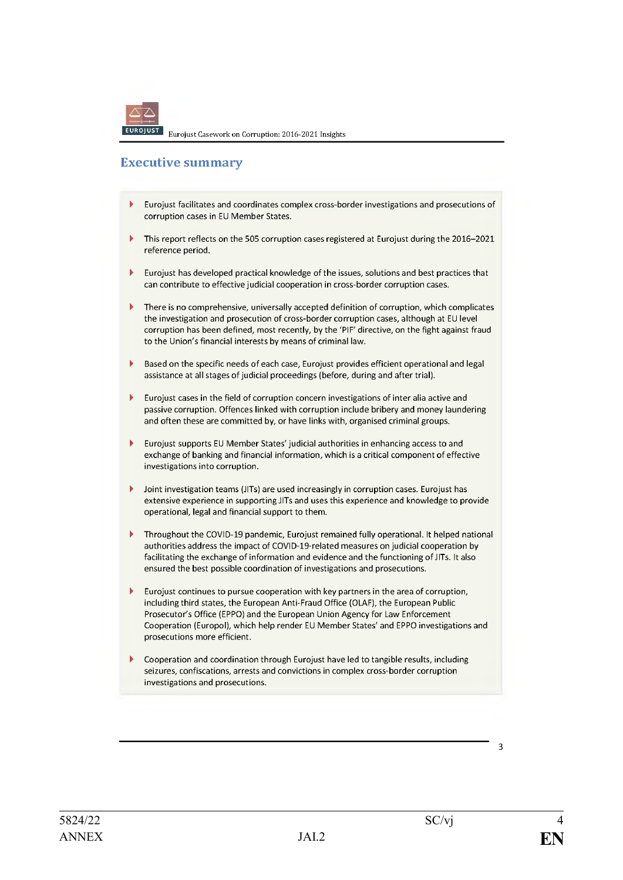# **Executive summary**

- $\overline{\phantom{a}}$ Eurojust facilitates and coordinates complex cross-border investigations and prosecutions of corruption cases in EU Member States.
- b This report reflects on the 505 corruption cases registered at Eurojust during the 2016-2021 reference period.
- Eurojust has developed practical knowledge of the issues, solutions and best practices that ь can contribute to effective judicial cooperation in cross-border corruption cases.
- There is no comprehensive, universally accepted definition of corruption, which complicates  $\mathbf b$ the investigation and prosecution of cross-border corruption cases, although at EU level corruption has been defined, most recently, by the 'PIF' directive, on the fight against fraud to the Union's financial interests by means of criminal law.
- Based on the specific needs of each case, Eurojust provides efficient operational and legal assistance at all stages of judicial proceedings (before, during and after trial).
- Eurojust cases in the field of corruption concern investigations of inter alia active and passive corruption. Offences linked with corruption include bribery and money laundering and often these are committed by, or have links with, organised criminal groups.
- Eurojust supports EU Member States' judicial authorities in enhancing access to and exchange of banking and financial information, which is a critical component of effective investigations into corruption.
- $\blacktriangleright$ Joint investigation teams (JITs) are used increasingly in corruption cases. Eurojust has extensive experience in supporting JITs and uses this experience and knowledge to provide operational, legal and financial support to them.
- $\overline{\phantom{a}}$ Throughout the COVID-19 pandemic. Eurojust remained fully operational. It helped national authorities address the impact of COVID-19-related measures on judicial cooperation by facilitating the exchange of information and evidence and the functioning of JITs. It also ensured the best possible coordination of investigations and prosecutions.
- $\mathbf{r}$ Eurojust continues to pursue cooperation with key partners in the area of corruption, including third states, the European Anti-Fraud Office (OLAF), the European Public Prosecutor's Office (EPPO) and the European Union Agency for Law Enforcement Cooperation (Europol), which help render EU Member States' and EPPO investigations and prosecutions more efficient.
- Cooperation and coordination through Eurojust have led to tangible results, including seizures, confiscations, arrests and convictions in complex cross-border corruption investigations and prosecutions.

 $\overline{\mathbf{3}}$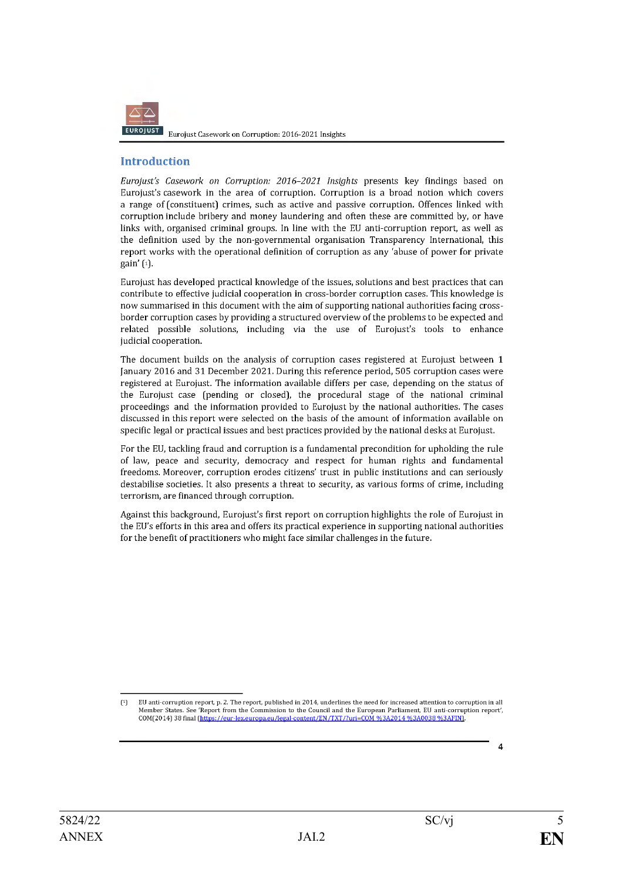

# **Introduction**

Eurojust's Casework on Corruption: 2016-2021 Insights presents key findings based on Eurojust's casework in the area of corruption. Corruption is a broad notion which covers a range of (constituent) crimes, such as active and passive corruption. Offences linked with corruption include bribery and money laundering and often these are committed by, or have links with, organised criminal groups. In line with the EU anti-corruption report, as well as the definition used by the non-governmental organisation Transparency International, this report works with the operational definition of corruption as any 'abuse of power for private gain'  $\left( \begin{smallmatrix} 1\\ 1 \end{smallmatrix} \right)$ .

Eurojust has developed practical knowledge of the issues, solutions and best practices that can contribute to effective judicial cooperation in cross-border corruption cases. This knowledge is now summarised in this document with the aim of supporting national authorities facing crossborder corruption cases by providing a structured overview of the problems to be expected and related possible solutions, including via the use of Eurojust's tools to enhance judicial cooperation.

The document builds on the analysis of corruption cases registered at Eurojust between 1 January 2016 and 31 December 2021. During this reference period, 505 corruption cases were registered at Eurojust. The information available differs per case, depending on the status of the Eurojust case (pending or closed), the procedural stage of the national criminal proceedings and the information provided to Eurojust by the national authorities. The cases discussed in this report were selected on the basis of the amount of information available on specific legal or practical issues and best practices provided by the national desks at Eurojust.

For the EU, tackling fraud and corruption is a fundamental precondition for upholding the rule of law, peace and security, democracy and respect for human rights and fundamental freedoms. Moreover, corruption erodes citizens' trust in public institutions and can seriously destabilise societies. It also presents a threat to security, as various forms of crime, including terrorism, are financed through corruption.

Against this background, Eurojust's first report on corruption highlights the role of Eurojust in the EU's efforts in this area and offers its practical experience in supporting national authorities for the benefit of practitioners who might face similar challenges in the future.

Δ

EU anti-corruption report, p. 2. The report, published in 2014, underlines the need for increased attention to corruption in all  $\int$ Member States. See 'Report from the Commission to the Council and the European Parliament, EU anti-corruption report', COM(2014) 38 final (https://eur-lex.europa.eu/legal-content/EN/TXT/?uri=COM %3A2014 %3A0038 %3AFIN].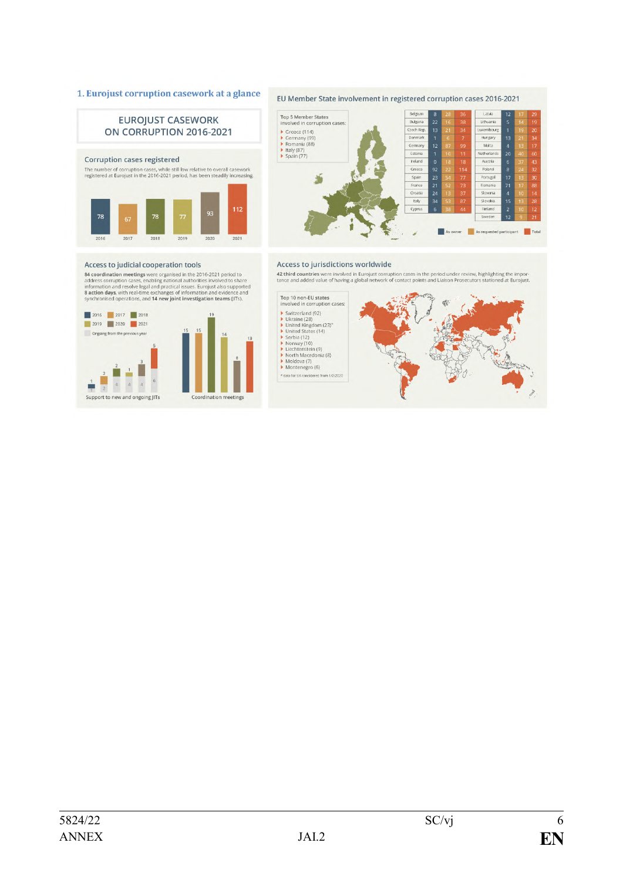#### 1. Eurojust corruption casework at a glance



#### EU Member State involvement in registered corruption cases 2016-2021



#### Access to judicial cooperation tools

**84 coordination meetings were organised in the 2016-2021 period to**<br>address corruption cases, enabling national authorities involved to share<br>information and resolve legal and practical issues. Eurojust also supported<br>**8** 



#### Access to jurisdictions worldwide

42 third countries were involved in Eurojust corruption cases in the period under review, highlighting the importance and added value of having a global network of contact points and Liaison Prosecutors stationed at Euroju

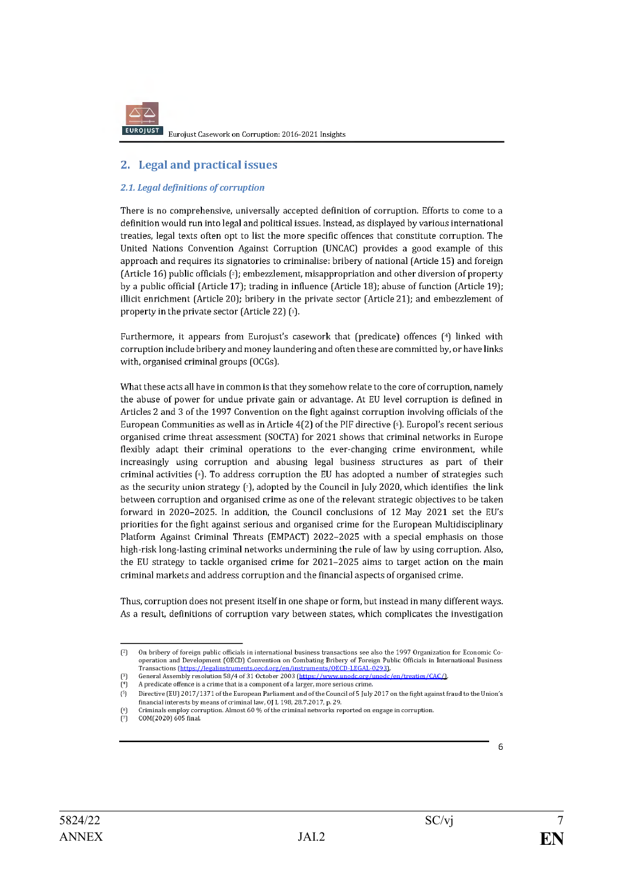### 2. Legal and practical issues

#### 2.1. Legal definitions of corruption

There is no comprehensive, universally accepted definition of corruption. Efforts to come to a definition would run into legal and political issues. Instead, as displayed by various international treaties, legal texts often opt to list the more specific offences that constitute corruption. The United Nations Convention Against Corruption (UNCAC) provides a good example of this approach and requires its signatories to criminalise: bribery of national (Article 15) and foreign (Article 16) public officials  $\lceil 2 \rceil$ ; embezzlement, misappropriation and other diversion of property by a public official (Article 17); trading in influence (Article 18); abuse of function (Article 19); illicit enrichment (Article 20); bribery in the private sector (Article 21); and embezzlement of property in the private sector (Article 22) [3].

Furthermore, it appears from Eurojust's casework that (predicate) offences (4) linked with corruption include bribery and money laundering and often these are committed by, or have links with, organised criminal groups (OCGs).

What these acts all have in common is that they somehow relate to the core of corruption, namely the abuse of power for undue private gain or advantage. At EU level corruption is defined in Articles 2 and 3 of the 1997 Convention on the fight against corruption involving officials of the European Communities as well as in Article 4(2) of the PIF directive (5). Europol's recent serious organised crime threat assessment (SOCTA) for 2021 shows that criminal networks in Europe flexibly adapt their criminal operations to the ever-changing crime environment, while increasingly using corruption and abusing legal business structures as part of their criminal activities  $\lceil \cdot \rceil$ . To address corruption the EU has adopted a number of strategies such as the security union strategy  $[\tau]$ , adopted by the Council in July 2020, which identifies the link between corruption and organised crime as one of the relevant strategic objectives to be taken forward in 2020-2025. In addition, the Council conclusions of 12 May 2021 set the EU's priorities for the fight against serious and organised crime for the European Multidisciplinary Platform Against Criminal Threats (EMPACT) 2022-2025 with a special emphasis on those high-risk long-lasting criminal networks undermining the rule of law by using corruption. Also, the EU strategy to tackle organised crime for 2021-2025 aims to target action on the main criminal markets and address corruption and the financial aspects of organised crime.

Thus, corruption does not present itself in one shape or form, but instead in many different ways. As a result, definitions of corruption vary between states, which complicates the investigation

On bribery of foreign public officials in international business transactions see also the 1997 Organization for Economic Co- $\lceil$ <sup>2</sup> operation and Development (OECD) Convention on Combating Bribery of Foreign Public Officials in International Business Transactions (https://legalinstruments.oecd.org/en/instruments/OECD-LEGAL-0293).

 $\begin{bmatrix} 3 \\ 1 \\ 1 \end{bmatrix}$ General Assembly resolution 58/4 of 31 October 2003 (https://www.unodc.org/unodc/en/treaties/CAC/L A predicate offence is a crime that is a component of a larger, more serious crime.

Directive (EU) 2017/1371 of the European Parliament and of the Council of 5 July 2017 on the fight against fraud to the Union's  $(5)$ financial interests by means of criminal law, OI L 198, 28, 7, 2017, p. 29.

Criminals employ corruption. Almost 60 % of the criminal networks reported on engage in corruption.

ÌЙ COM(2020) 605 final.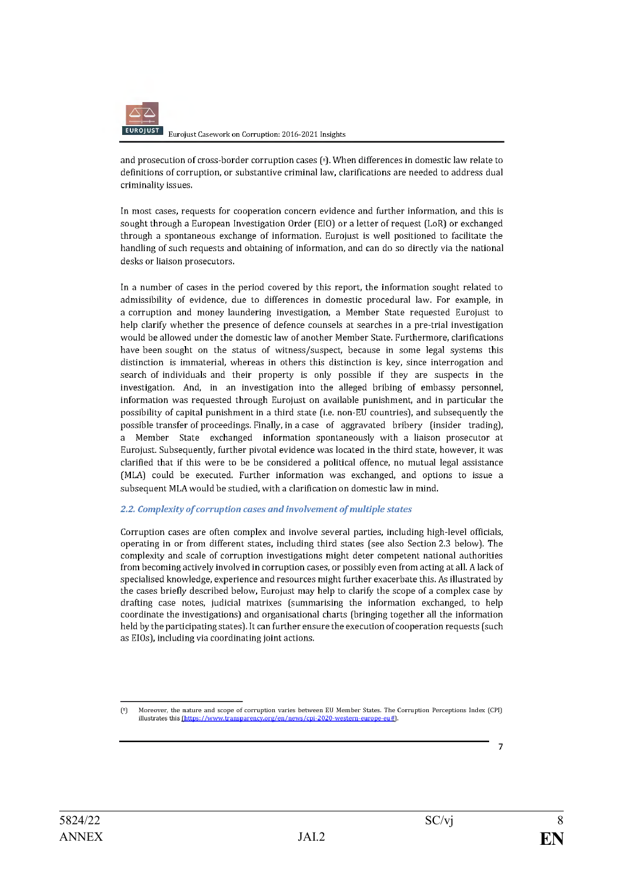

and prosecution of cross-border corruption cases [8]. When differences in domestic law relate to definitions of corruption, or substantive criminal law, clarifications are needed to address dual criminality issues.

In most cases, requests for cooperation concern evidence and further information, and this is sought through a European Investigation Order (EIO) or a letter of request (LoR) or exchanged through a spontaneous exchange of information. Eurojust is well positioned to facilitate the handling of such requests and obtaining of information, and can do so directly via the national desks or liaison prosecutors.

In a number of cases in the period covered by this report, the information sought related to admissibility of evidence, due to differences in domestic procedural law. For example, in a corruption and money laundering investigation, a Member State requested Eurojust to help clarify whether the presence of defence counsels at searches in a pre-trial investigation would be allowed under the domestic law of another Member State. Furthermore, clarifications have been sought on the status of witness/suspect, because in some legal systems this distinction is immaterial, whereas in others this distinction is key, since interrogation and search of individuals and their property is only possible if they are suspects in the investigation. And, in an investigation into the alleged bribing of embassy personnel, information was requested through Eurojust on available punishment, and in particular the possibility of capital punishment in a third state (i.e. non-EU countries), and subsequently the possible transfer of proceedings. Finally, in a case of aggravated bribery (insider trading), a Member State exchanged information spontaneously with a liaison prosecutor at Eurojust. Subsequently, further pivotal evidence was located in the third state, however, it was clarified that if this were to be be considered a political offence, no mutual legal assistance (MLA) could be executed. Further information was exchanged, and options to issue a subsequent MLA would be studied, with a clarification on domestic law in mind.

#### 2.2. Complexity of corruption cases and involvement of multiple states

Corruption cases are often complex and involve several parties, including high-level officials, operating in or from different states, including third states (see also Section 2.3 below). The complexity and scale of corruption investigations might deter competent national authorities from becoming actively involved in corruption cases, or possibly even from acting at all. A lack of specialised knowledge, experience and resources might further exacerbate this. As illustrated by the cases briefly described below, Eurojust may help to clarify the scope of a complex case by drafting case notes, judicial matrixes (summarising the information exchanged, to help coordinate the investigations) and organisational charts (bringing together all the information held by the participating states). It can further ensure the execution of cooperation requests (such as EIOs), including via coordinating joint actions.

 $\overline{7}$ 

Moreover, the nature and scope of corruption varies between EU Member States. The Corruption Perceptions Index (CPI)  $<sup>8</sup>$ </sup> illustrates this (https://www.transparen rg/en/news/cpi-2020-western-europe-eu#]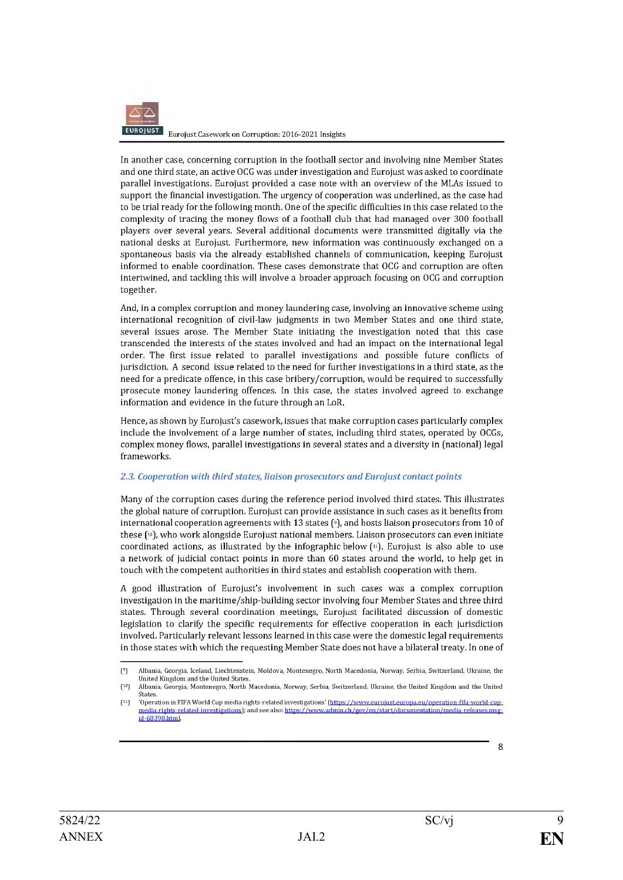

In another case, concerning corruption in the football sector and involving nine Member States and one third state, an active OCG was under investigation and Eurojust was asked to coordinate parallel investigations. Eurojust provided a case note with an overview of the MLAs issued to support the financial investigation. The urgency of cooperation was underlined, as the case had to be trial ready for the following month. One of the specific difficulties in this case related to the complexity of tracing the money flows of a football club that had managed over 300 football players over several years. Several additional documents were transmitted digitally via the national desks at Eurojust. Furthermore, new information was continuously exchanged on a spontaneous basis via the already established channels of communication, keeping Eurojust informed to enable coordination. These cases demonstrate that OCG and corruption are often intertwined, and tackling this will involve a broader approach focusing on OCG and corruption together.

And, in a complex corruption and money laundering case, involving an innovative scheme using international recognition of civil-law judgments in two Member States and one third state, several issues arose. The Member State initiating the investigation noted that this case transcended the interests of the states involved and had an impact on the international legal order. The first issue related to parallel investigations and possible future conflicts of jurisdiction. A second issue related to the need for further investigations in a third state, as the need for a predicate offence, in this case bribery/corruption, would be required to successfully prosecute money laundering offences. In this case, the states involved agreed to exchange information and evidence in the future through an LoR.

Hence, as shown by Eurojust's casework, issues that make corruption cases particularly complex include the involvement of a large number of states, including third states, operated by OCGs, complex money flows, parallel investigations in several states and a diversity in (national) legal frameworks.

#### 2.3. Cooperation with third states, liaison prosecutors and Eurojust contact points

Many of the corruption cases during the reference period involved third states. This illustrates the global nature of corruption. Eurojust can provide assistance in such cases as it benefits from international cooperation agreements with 13 states ( $9$ ), and hosts liaison prosecutors from 10 of these [10], who work alongside Eurojust national members. Liaison prosecutors can even initiate coordinated actions, as illustrated by the infographic below  $[\nVert]$ . Eurojust is also able to use a network of judicial contact points in more than 60 states around the world, to help get in touch with the competent authorities in third states and establish cooperation with them.

A good illustration of Eurojust's involvement in such cases was a complex corruption investigation in the maritime/ship-building sector involving four Member States and three third states. Through several coordination meetings, Eurojust facilitated discussion of domestic legislation to clarify the specific requirements for effective cooperation in each jurisdiction involved. Particularly relevant lessons learned in this case were the domestic legal requirements in those states with which the requesting Member State does not have a bilateral treaty. In one of

Albania, Georgia, Iceland, Liechtenstein, Moldova, Montenegro, North Macedonia, Norway, Serbia, Switzerland, Ukraine, the  $(°)$ United Kingdom and the United States

 $(10)$ Albania, Georgia, Montenegro, North Macedonia, Norway, Serbia, Switzerland, Ukraine, the United Kingdom and the United States.

<sup>&#</sup>x27;Operation in FIFA World Cup media rights-related investigations' (https://www.eurojust.europa.eu/operation-fifa-world-cup- $(11)$ stigations); and see also: https://www.admin.ch/gov/en/start/documentation/media-releases.msg <u>media-rights-related-inve</u> id-68398.html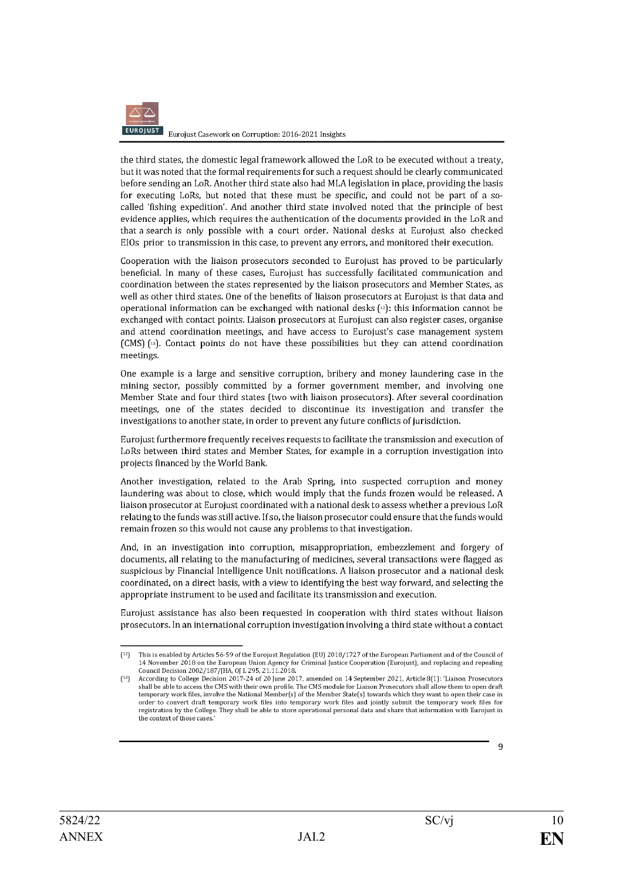

the third states, the domestic legal framework allowed the LoR to be executed without a treaty, but it was noted that the formal requirements for such a request should be clearly communicated before sending an LoR. Another third state also had MLA legislation in place, providing the basis for executing LoRs, but noted that these must be specific, and could not be part of a socalled 'fishing expedition'. And another third state involved noted that the principle of best evidence applies, which requires the authentication of the documents provided in the LoR and that a search is only possible with a court order. National desks at Eurojust also checked EIOs prior to transmission in this case, to prevent any errors, and monitored their execution.

Cooperation with the liaison prosecutors seconded to Eurojust has proved to be particularly beneficial. In many of these cases, Eurojust has successfully facilitated communication and coordination between the states represented by the liaison prosecutors and Member States, as well as other third states. One of the benefits of liaison prosecutors at Eurojust is that data and operational information can be exchanged with national desks  $[*x*]$ : this information cannot be exchanged with contact points. Liaison prosecutors at Eurojust can also register cases, organise and attend coordination meetings, and have access to Eurojust's case management system (CMS) (13). Contact points do not have these possibilities but they can attend coordination meetings.

One example is a large and sensitive corruption, bribery and money laundering case in the mining sector, possibly committed by a former government member, and involving one Member State and four third states (two with liaison prosecutors). After several coordination meetings, one of the states decided to discontinue its investigation and transfer the investigations to another state, in order to prevent any future conflicts of jurisdiction.

Eurojust furthermore frequently receives requests to facilitate the transmission and execution of LoRs between third states and Member States, for example in a corruption investigation into projects financed by the World Bank.

Another investigation, related to the Arab Spring, into suspected corruption and money laundering was about to close, which would imply that the funds frozen would be released. A liaison prosecutor at Eurojust coordinated with a national desk to assess whether a previous LoR relating to the funds was still active. If so, the liaison prosecutor could ensure that the funds would remain frozen so this would not cause any problems to that investigation.

And, in an investigation into corruption, misappropriation, embezzlement and forgery of documents, all relating to the manufacturing of medicines, several transactions were flagged as suspicious by Financial Intelligence Unit notifications. A liaison prosecutor and a national desk coordinated, on a direct basis, with a view to identifying the best way forward, and selecting the appropriate instrument to be used and facilitate its transmission and execution.

Eurojust assistance has also been requested in cooperation with third states without liaison prosecutors. In an international corruption investigation involving a third state without a contact

 $[12]$ This is enabled by Articles 56-59 of the Eurojust Regulation (EU) 2018/1727 of the European Parliament and of the Council of 14 November 2018 on the European Union Agency for Criminal Justice Cooperation (Eurojust), and replacing and repealing Council Decision 2002/187/JHA, OJ L 295, 21.11.2018.

According to College Decision 2017-24 of 20 June 2017, amended on 14 September 2021, Article 8[1]: 'Liaison Prosecutors shall be able to access the CMS with their own profile. The CMS module for Liaison Prosecutors shall allow them to open draft temporary work files, involve the National Member(s) of the Member State(s) towards which they want to open their case in order to convert draft temporary work files into temporary work files and jointly submit the temporary work files for registration by the College. They shall be able to store operational personal data and share that information with Eurojust in the context of those cases.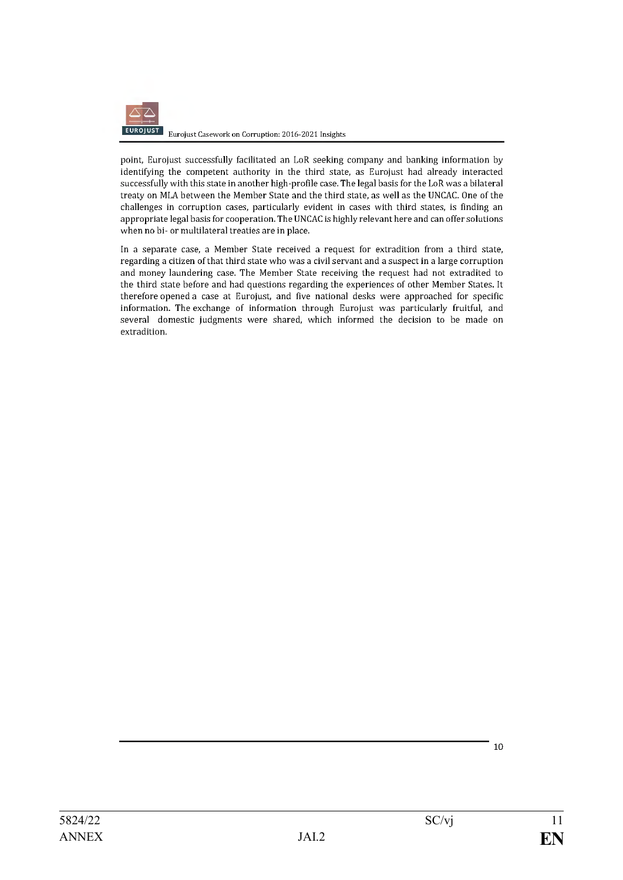

point, Eurojust successfully facilitated an LoR seeking company and banking information by identifying the competent authority in the third state, as Eurojust had already interacted successfully with this state in another high-profile case. The legal basis for the LoR was a bilateral treaty on MLA between the Member State and the third state, as well as the UNCAC. One of the challenges in corruption cases, particularly evident in cases with third states, is finding an appropriate legal basis for cooperation. The UNCAC is highly relevant here and can offer solutions when no bi- or multilateral treaties are in place.

In a separate case, a Member State received a request for extradition from a third state, regarding a citizen of that third state who was a civil servant and a suspect in a large corruption and money laundering case. The Member State receiving the request had not extradited to the third state before and had questions regarding the experiences of other Member States. It therefore opened a case at Eurojust, and five national desks were approached for specific information. The exchange of information through Eurojust was particularly fruitful, and several domestic judgments were shared, which informed the decision to be made on extradition.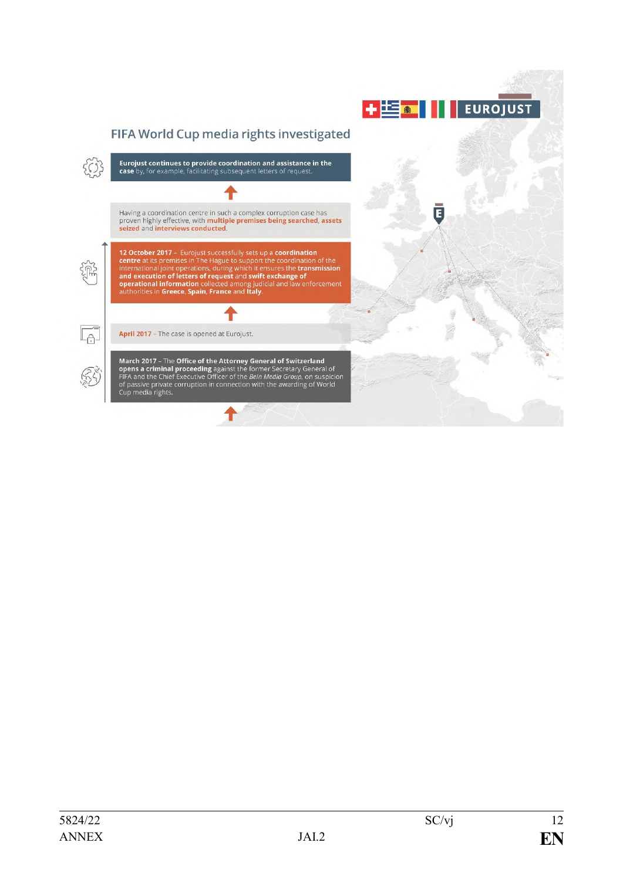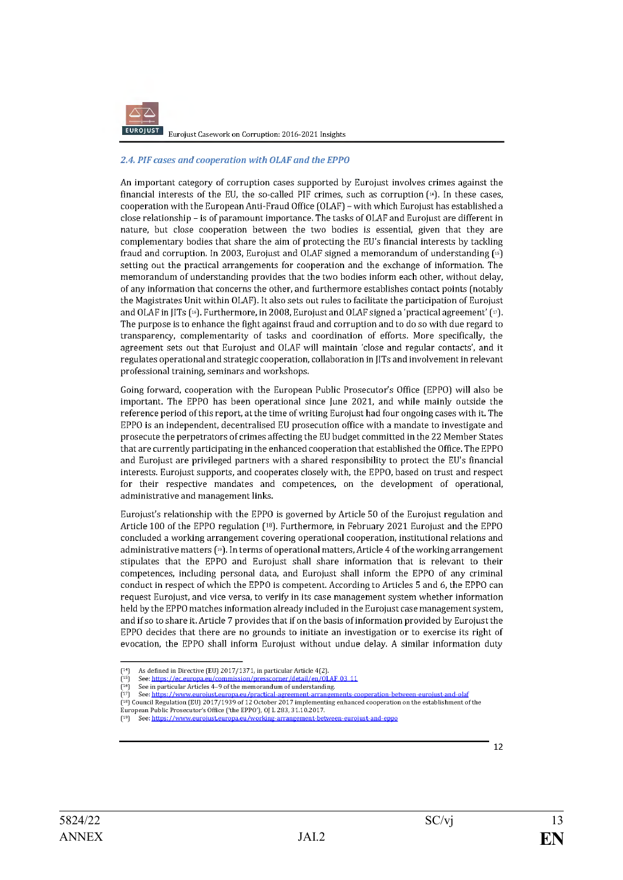

#### 2.4. PIF cases and cooperation with OLAF and the EPPO

An important category of corruption cases supported by Eurojust involves crimes against the financial interests of the EU, the so-called PIF crimes, such as corruption  $[4]$ . In these cases, cooperation with the European Anti-Fraud Office (OLAF) - with which Eurojust has established a close relationship - is of paramount importance. The tasks of OLAF and Eurojust are different in nature, but close cooperation between the two bodies is essential, given that they are complementary bodies that share the aim of protecting the EU's financial interests by tackling fraud and corruption. In 2003, Eurojust and OLAF signed a memorandum of understanding [15] setting out the practical arrangements for cooperation and the exchange of information. The memorandum of understanding provides that the two bodies inform each other, without delay, of any information that concerns the other, and furthermore establishes contact points (notably the Magistrates Unit within OLAF). It also sets out rules to facilitate the participation of Eurojust and OLAF in JITs [16]. Furthermore, in 2008, Eurojust and OLAF signed a 'practical agreement' (v). The purpose is to enhance the fight against fraud and corruption and to do so with due regard to transparency, complementarity of tasks and coordination of efforts. More specifically, the agreement sets out that Eurojust and OLAF will maintain 'close and regular contacts', and it regulates operational and strategic cooperation, collaboration in JITs and involvement in relevant professional training, seminars and workshops.

Going forward, cooperation with the European Public Prosecutor's Office (EPPO) will also be important. The EPPO has been operational since June 2021, and while mainly outside the reference period of this report, at the time of writing Eurojust had four ongoing cases with it. The EPPO is an independent, decentralised EU prosecution office with a mandate to investigate and prosecute the perpetrators of crimes affecting the EU budget committed in the 22 Member States that are currently participating in the enhanced cooperation that established the Office. The EPPO and Eurojust are privileged partners with a shared responsibility to protect the EU's financial interests. Eurojust supports, and cooperates closely with, the EPPO, based on trust and respect for their respective mandates and competences, on the development of operational, administrative and management links.

Eurojust's relationship with the EPPO is governed by Article 50 of the Eurojust regulation and Article 100 of the EPPO regulation (18). Furthermore, in February 2021 Eurojust and the EPPO concluded a working arrangement covering operational cooperation, institutional relations and administrative matters (19). In terms of operational matters, Article 4 of the working arrangement stipulates that the EPPO and Eurojust shall share information that is relevant to their competences, including personal data, and Eurojust shall inform the EPPO of any criminal conduct in respect of which the EPPO is competent. According to Articles 5 and 6, the EPPO can request Eurojust, and vice versa, to verify in its case management system whether information held by the EPPO matches information already included in the Eurojust case management system, and if so to share it. Article 7 provides that if on the basis of information provided by Eurojust the EPPO decides that there are no grounds to initiate an investigation or to exercise its right of evocation, the EPPO shall inform Eurojust without undue delay. A similar information duty

As defined in Directive (EU) 2017/1371, in particular Article 4(2).  $(14)$ 

 $r<sub>15</sub>$ See: https://ec.europa.eu/commission/presscorner/detail/en/OLAF 03 11  $\tilde{\Gamma}$ See in particular Articles 4-9 of the memorandum of understanding.

<sup>(17)</sup> See: https://www.euroiust.europa.eu/practical-agreement-arrangements-cooperation-between-eurojust-and-olaf<br>(17) See: https://www.euroiust.europa.eu/practical-agreement-arrangements-cooperation-between-eurojust-and-ola

European Public Prosecutor's Office ('the EPPO'), OJ L 283, 31.10.2017.

See: https://www.eurojust.europa.eu/worki ng-arrangement-betw een-eurojust-and-eppo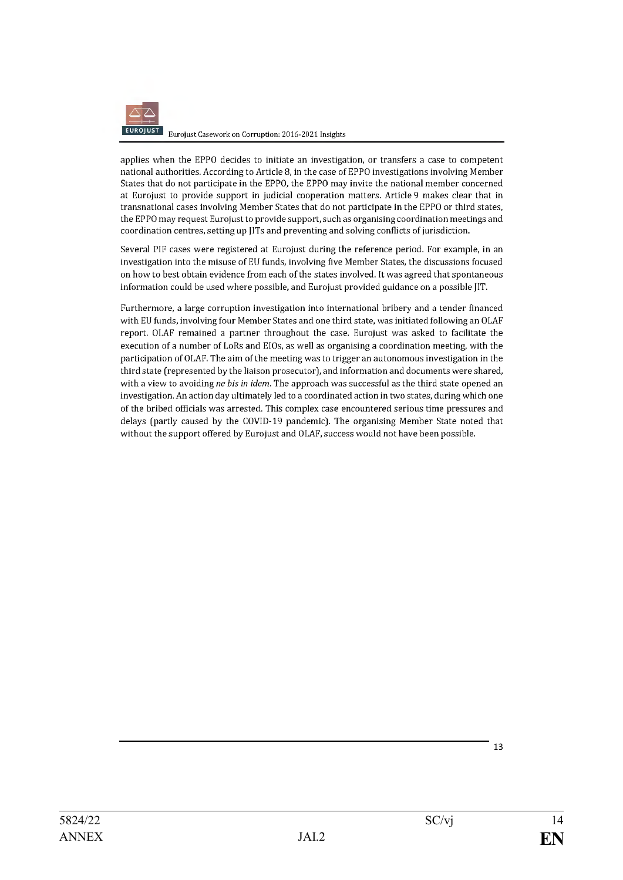

applies when the EPPO decides to initiate an investigation, or transfers a case to competent national authorities. According to Article 8, in the case of EPPO investigations involving Member States that do not participate in the EPPO, the EPPO may invite the national member concerned at Eurojust to provide support in judicial cooperation matters. Article 9 makes clear that in transnational cases involving Member States that do not participate in the EPPO or third states, the EPPO may request Eurojust to provide support, such as organising coordination meetings and coordination centres, setting up JITs and preventing and solving conflicts of jurisdiction.

Several PIF cases were registered at Eurojust during the reference period. For example, in an investigation into the misuse of EU funds, involving five Member States, the discussions focused on how to best obtain evidence from each of the states involved. It was agreed that spontaneous information could be used where possible, and Eurojust provided guidance on a possible JIT.

Furthermore, a large corruption investigation into international bribery and a tender financed with EU funds, involving four Member States and one third state, was initiated following an OLAF report. OLAF remained a partner throughout the case. Eurojust was asked to facilitate the execution of a number of LoRs and EIOs, as well as organising a coordination meeting, with the participation of OLAF. The aim of the meeting was to trigger an autonomous investigation in the third state (represented by the liaison prosecutor), and information and documents were shared, with a view to avoiding ne bis in idem. The approach was successful as the third state opened an investigation. An action day ultimately led to a coordinated action in two states, during which one of the bribed officials was arrested. This complex case encountered serious time pressures and delays (partly caused by the COVID-19 pandemic). The organising Member State noted that without the support offered by Eurojust and OLAF, success would not have been possible.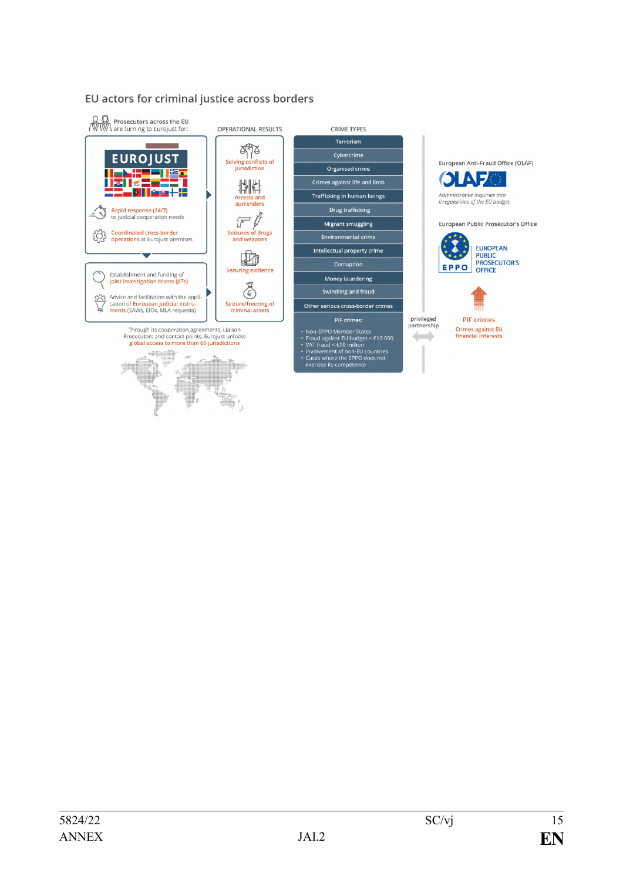# EU actors for criminal justice across borders

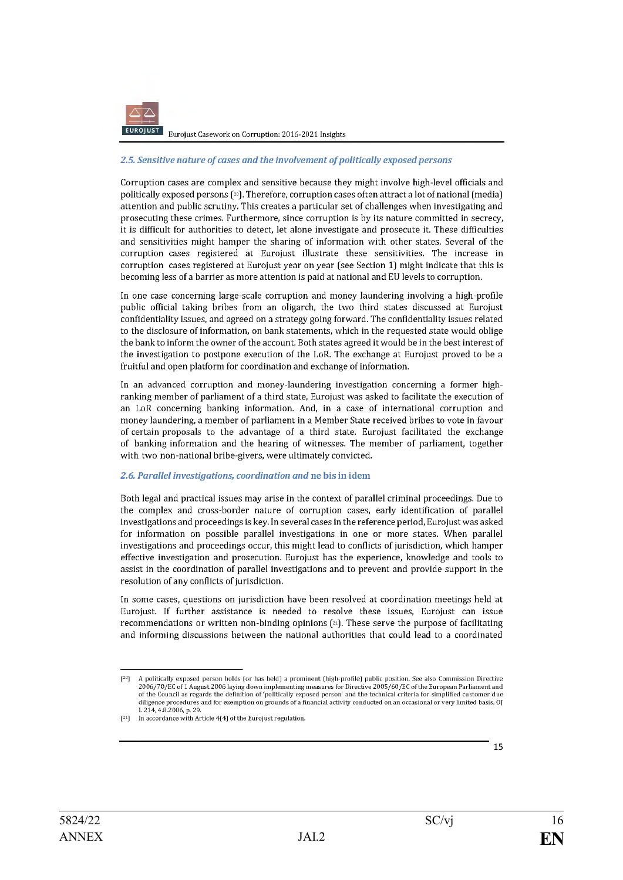

Eurojust Casework on Corruption: 2016-2021 Insights

#### 2.5. Sensitive nature of cases and the involvement of politically exposed persons

Corruption cases are complex and sensitive because they might involve high-level officials and politically exposed persons (20). Therefore, corruption cases often attract a lot of national (media) attention and public scrutiny. This creates a particular set of challenges when investigating and prosecuting these crimes. Furthermore, since corruption is by its nature committed in secrecy, it is difficult for authorities to detect, let alone investigate and prosecute it. These difficulties and sensitivities might hamper the sharing of information with other states. Several of the corruption cases registered at Eurojust illustrate these sensitivities. The increase in corruption cases registered at Eurojust year on year (see Section 1) might indicate that this is becoming less of a barrier as more attention is paid at national and EU levels to corruption.

In one case concerning large-scale corruption and money laundering involving a high-profile public official taking bribes from an oligarch, the two third states discussed at Eurojust confidentiality issues, and agreed on a strategy going forward. The confidentiality issues related to the disclosure of information, on bank statements, which in the requested state would oblige the bank to inform the owner of the account. Both states agreed it would be in the best interest of the investigation to postpone execution of the LoR. The exchange at Eurojust proved to be a fruitful and open platform for coordination and exchange of information.

In an advanced corruption and money-laundering investigation concerning a former highranking member of parliament of a third state. Eurojust was asked to facilitate the execution of an LoR concerning banking information. And, in a case of international corruption and money laundering, a member of parliament in a Member State received bribes to yote in fayour of certain proposals to the advantage of a third state. Eurojust facilitated the exchange of banking information and the hearing of witnesses. The member of parliament, together with two non-national bribe-givers, were ultimately convicted.

#### 2.6. Parallel investigations, coordination and ne bis in idem

Both legal and practical issues may arise in the context of parallel criminal proceedings. Due to the complex and cross-border nature of corruption cases, early identification of parallel investigations and proceedings is key. In several cases in the reference period, Eurojust was asked for information on possible parallel investigations in one or more states. When parallel investigations and proceedings occur, this might lead to conflicts of jurisdiction, which hamper effective investigation and prosecution. Eurojust has the experience, knowledge and tools to assist in the coordination of parallel investigations and to prevent and provide support in the resolution of any conflicts of jurisdiction.

In some cases, questions on jurisdiction have been resolved at coordination meetings held at Eurojust. If further assistance is needed to resolve these issues, Eurojust can issue recommendations or written non-binding opinions (21). These serve the purpose of facilitating and informing discussions between the national authorities that could lead to a coordinated

 $[20]$ A politically exposed person holds (or has held) a prominent (high-profile) public position. See also Commission Directive 2006/70/EC of 1 August 2006 laying down implementing measures for Directive 2005/60/EC of the European Parliament and of the Council as regards the definition of 'politically exposed person' and the technical criteria for simplified customer due diligence procedures and for exemption on grounds of a financial activity conducted on an occasional or very limited basis, O[ L 214, 4.8.2006, p. 29.

In accordance with Article 4(4) of the Eurojust regulation.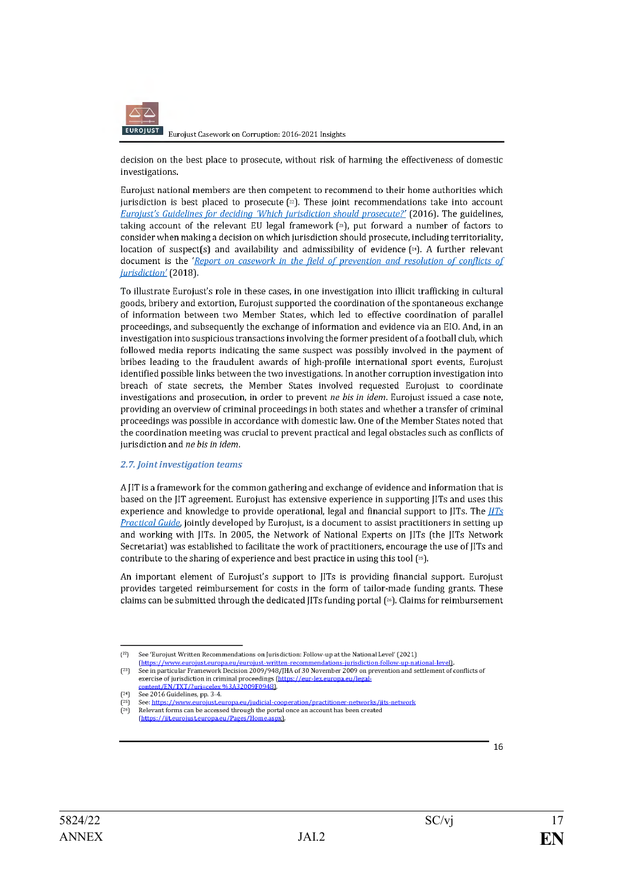

Eurojust Casework on Corruption: 2016-2021 Insights

decision on the best place to prosecute, without risk of harming the effectiveness of domestic investigations.

Eurojust national members are then competent to recommend to their home authorities which jurisdiction is best placed to prosecute  $[2]$ . These joint recommendations take into account Eurojust's Guidelines for deciding Which jurisdiction should prosecute?' (2016). The guidelines, taking account of the relevant EU legal framework  $[2]$ , put forward a number of factors to consider when making a decision on which jurisdiction should prosecute, including territoriality, location of suspect(s) and availability and admissibility of evidence  $[24]$ . A further relevant document is the 'Report on casework in the field of prevention and resolution of conflicts of jurisdiction' (2018).

To illustrate Eurojust's role in these cases, in one investigation into illicit trafficking in cultural goods, bribery and extortion, Eurojust supported the coordination of the spontaneous exchange of information between two Member States, which led to effective coordination of parallel proceedings, and subsequently the exchange of information and evidence via an EIO. And, in an investigation into suspicious transactions involving the former president of a football club, which followed media reports indicating the same suspect was possibly involved in the payment of bribes leading to the fraudulent awards of high-profile international sport events, Eurojust identified possible links between the two investigations. In another corruption investigation into breach of state secrets, the Member States involved requested Eurojust to coordinate investigations and prosecution, in order to prevent ne bis in idem. Eurojust issued a case note, providing an overview of criminal proceedings in both states and whether a transfer of criminal proceedings was possible in accordance with domestic law. One of the Member States noted that the coordination meeting was crucial to prevent practical and legal obstacles such as conflicts of jurisdiction and ne bis in idem.

#### 2.7. Joint investigation teams

A IIT is a framework for the common gathering and exchange of evidence and information that is based on the IIT agreement. Eurojust has extensive experience in supporting IITs and uses this experience and knowledge to provide operational, legal and financial support to  $[1]$ Ts. The  $[1]$ Ts Practical Guide, jointly developed by Eurojust, is a document to assist practitioners in setting up and working with JITs. In 2005, the Network of National Experts on JITs (the JITs Network Secretariat) was established to facilitate the work of practitioners, encourage the use of [ITs and contribute to the sharing of experience and best practice in using this tool [25].

An important element of Eurojust's support to JITs is providing financial support. Eurojust provides targeted reimbursement for costs in the form of tailor-made funding grants. These claims can be submitted through the dedicated JITs funding portal [26]. Claims for reimbursement

 $(22)$ See 'Eurojust Written Recommendations on Jurisdiction: Follow-up at the National Level' (2021)

<sup>(</sup>https://www.eurojust.europa.eu/eurojust-written-recommendations-jurisdiction-follow-up-national-level).  $[23]$ See in particular Framework Decision 2009/948/JHA of 30 November 2009 on prevention and settlement of conflicts of exercise of jurisdiction in criminal proceedings (https://eur-lex.europa.eu/lega 1481

See 2016 Guidelines, pp. 3-4.  $[24]$ 

See: https://www.eurojust.europa.eu/judicial-cooperation/practitioner-networks/jits-network  $[25]$ Relevant forms can be accessed through the portal once an account has been created

<sup>(</sup>https://jit.eurojust.europa.eu/Pages/Hon spx)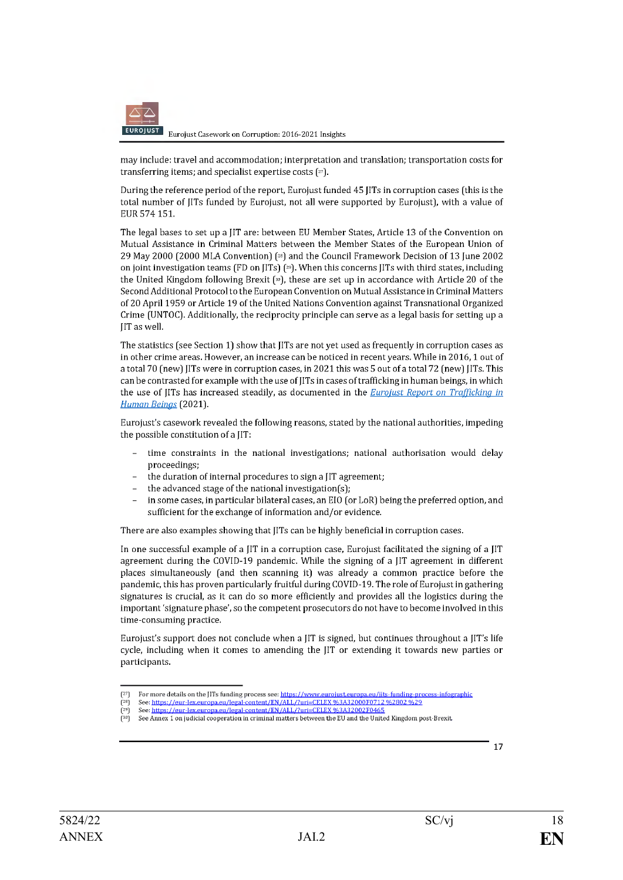

may include: travel and accommodation; interpretation and translation; transportation costs for transferring items; and specialist expertise costs (27).

During the reference period of the report, Eurojust funded 45 IITs in corruption cases (this is the total number of JITs funded by Eurojust, not all were supported by Eurojust), with a value of EUR 574 151.

The legal bases to set up a IIT are: between EU Member States, Article 13 of the Convention on Mutual Assistance in Criminal Matters between the Member States of the European Union of 29 May 2000 (2000 MLA Convention) [<sup>28]</sup> and the Council Framework Decision of 13 June 2002 on joint investigation teams (FD on JITs)  $[29]$ . When this concerns JITs with third states, including the United Kingdom following Brexit [30], these are set up in accordance with Article 20 of the Second Additional Protocol to the European Convention on Mutual Assistance in Criminal Matters of 20 April 1959 or Article 19 of the United Nations Convention against Transnational Organized Crime (UNTOC). Additionally, the reciprocity principle can serve as a legal basis for setting up a IIT as well.

The statistics (see Section 1) show that JITs are not yet used as frequently in corruption cases as in other crime areas. However, an increase can be noticed in recent years. While in 2016, 1 out of a total 70 (new) JITs were in corruption cases, in 2021 this was 5 out of a total 72 (new) JITs. This can be contrasted for example with the use of IITs in cases of trafficking in human beings, in which the use of JITs has increased steadily, as documented in the *Eurojust Report on Trafficking in* Human Beings (2021).

Eurojust's casework revealed the following reasons, stated by the national authorities, impeding the possible constitution of a JIT:

- time constraints in the national investigations; national authorisation would delay proceedings;
- the duration of internal procedures to sign a JIT agreement;
- the advanced stage of the national investigation(s);
- in some cases, in particular bilateral cases, an EIO (or LoR) being the preferred option, and sufficient for the exchange of information and/or evidence.

There are also examples showing that JITs can be highly beneficial in corruption cases.

In one successful example of a JIT in a corruption case, Eurojust facilitated the signing of a JIT agreement during the COVID-19 pandemic. While the signing of a JIT agreement in different places simultaneously (and then scanning it) was already a common practice before the pandemic, this has proven particularly fruitful during COVID-19. The role of Eurojust in gathering signatures is crucial, as it can do so more efficiently and provides all the logistics during the important 'signature phase', so the competent prosecutors do not have to become involved in this time-consuming practice.

Eurojust's support does not conclude when a JIT is signed, but continues throughout a JIT's life cycle, including when it comes to amending the JIT or extending it towards new parties or participants.

See Annex 1 on judicial cooperation in criminal matters between the EU and the United Kingdom post-Brexit.



For more details on the JITs funding process see: https://www.eurojust.europa.eu/jits-funding-process-infographic<br>See: https://eur-lex.europa.eu/legal-content/EN/ALL/?uri=CELEX %3A32000F0712 %2802 %29

 $(28)$ See: https://eur-lex.europa.eu/legal-content/EN/ALL/?uri=CELEX %3A32002F0465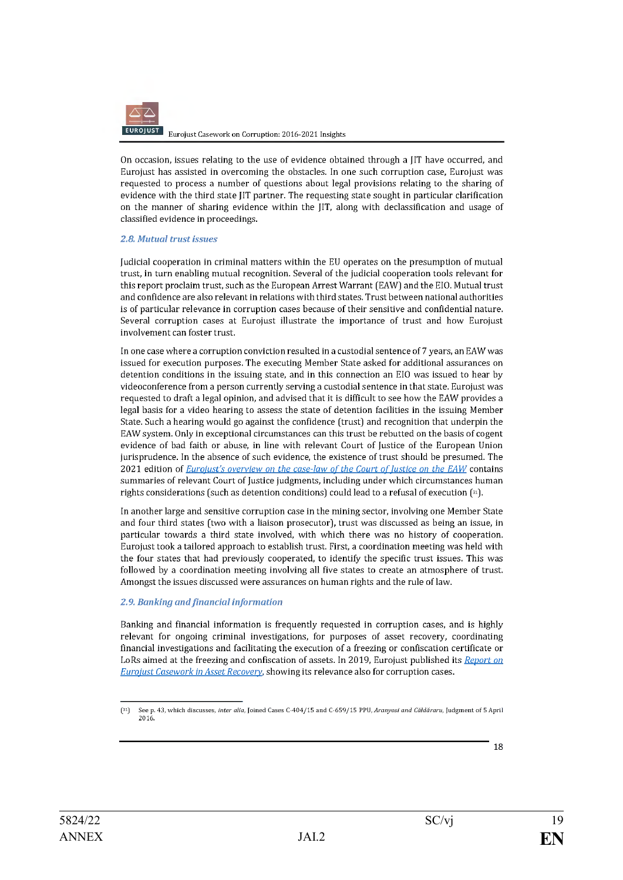

On occasion, issues relating to the use of evidence obtained through a [IT have occurred, and Eurojust has assisted in overcoming the obstacles. In one such corruption case, Eurojust was requested to process a number of questions about legal provisions relating to the sharing of evidence with the third state JIT partner. The requesting state sought in particular clarification on the manner of sharing evidence within the JIT, along with declassification and usage of classified evidence in proceedings.

#### 2.8. Mutual trust issues

Iudicial cooperation in criminal matters within the EU operates on the presumption of mutual trust, in turn enabling mutual recognition. Several of the judicial cooperation tools relevant for this report proclaim trust, such as the European Arrest Warrant (EAW) and the EIO. Mutual trust and confidence are also relevant in relations with third states. Trust between national authorities is of particular relevance in corruption cases because of their sensitive and confidential nature. Several corruption cases at Eurojust illustrate the importance of trust and how Eurojust involvement can foster trust.

In one case where a corruption conviction resulted in a custodial sentence of 7 years, an EAW was issued for execution purposes. The executing Member State asked for additional assurances on detention conditions in the issuing state, and in this connection an EIO was issued to hear by videoconference from a person currently serving a custodial sentence in that state. Eurojust was requested to draft a legal opinion, and advised that it is difficult to see how the EAW provides a legal basis for a video hearing to assess the state of detention facilities in the issuing Member State. Such a hearing would go against the confidence (trust) and recognition that underpin the EAW system. Only in exceptional circumstances can this trust be rebutted on the basis of cogent evidence of bad faith or abuse, in line with relevant Court of Justice of the European Union jurisprudence. In the absence of such evidence, the existence of trust should be presumed. The 2021 edition of *Eurojust's overview on the case-law of the Court of Justice on the EAW* contains summaries of relevant Court of Justice judgments, including under which circumstances human rights considerations (such as detention conditions) could lead to a refusal of execution  $[$ <sup>31</sup>).

In another large and sensitive corruption case in the mining sector, involving one Member State and four third states (two with a liaison prosecutor), trust was discussed as being an issue, in particular towards a third state involved, with which there was no history of cooperation. Eurojust took a tailored approach to establish trust. First, a coordination meeting was held with the four states that had previously cooperated, to identify the specific trust issues. This was followed by a coordination meeting involving all five states to create an atmosphere of trust. Amongst the issues discussed were assurances on human rights and the rule of law.

### 2.9. Banking and financial information

Banking and financial information is frequently requested in corruption cases, and is highly relevant for ongoing criminal investigations, for purposes of asset recovery, coordinating financial investigations and facilitating the execution of a freezing or confiscation certificate or LoRs aimed at the freezing and confiscation of assets. In 2019, Eurojust published its Report on Eurojust Casework in Asset Recovery, showing its relevance also for corruption cases.

See p. 43, which discusses, inter alia, Joined Cases C-404/15 and C-659/15 PPU, Aranyosi and Căldăraru, Judgment of 5 April  $[31]$ 2016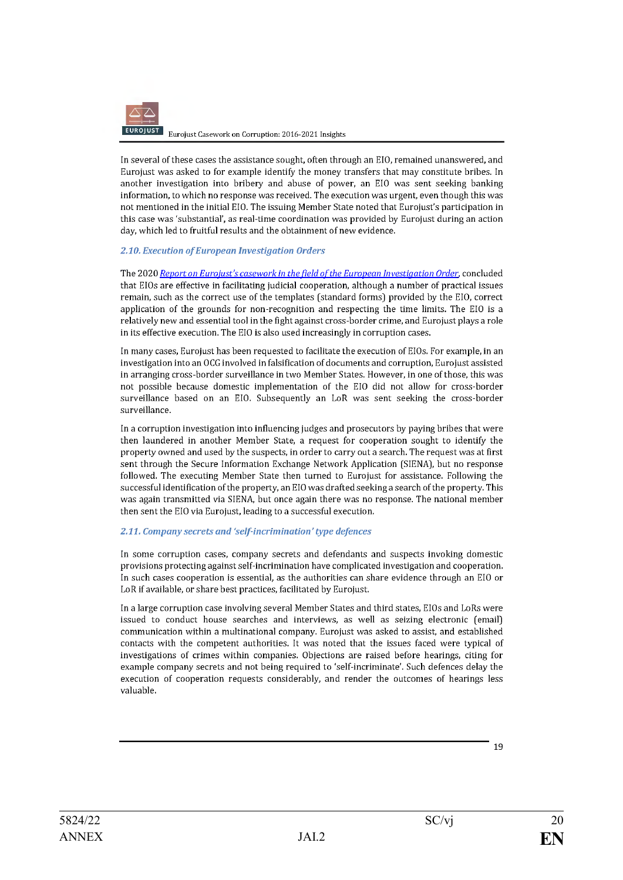

In several of these cases the assistance sought, often through an EIO, remained unanswered, and Eurojust was asked to for example identify the money transfers that may constitute bribes. In another investigation into bribery and abuse of power, an EIO was sent seeking banking information, to which no response was received. The execution was urgent, even though this was not mentioned in the initial EIO. The issuing Member State noted that Eurojust's participation in this case was 'substantial', as real-time coordination was provided by Eurojust during an action day, which led to fruitful results and the obtainment of new evidence.

#### 2.10. Execution of European Investigation Orders

The 2020 Report on Eurojust's casework in the field of the European Investigation Order, concluded that EIOs are effective in facilitating judicial cooperation, although a number of practical issues remain, such as the correct use of the templates (standard forms) provided by the EIO. correct application of the grounds for non-recognition and respecting the time limits. The EIO is a relatively new and essential tool in the fight against cross-border crime, and Eurojust plays a role in its effective execution. The EIO is also used increasingly in corruption cases.

In many cases, Eurojust has been requested to facilitate the execution of EIOs. For example, in an investigation into an OCG involved in falsification of documents and corruption, Eurojust assisted in arranging cross-border surveillance in two Member States. However, in one of those, this was not possible because domestic implementation of the EIO did not allow for cross-border surveillance based on an EIO. Subsequently an LoR was sent seeking the cross-border surveillance.

In a corruption investigation into influencing judges and prosecutors by paying bribes that were then laundered in another Member State, a request for cooperation sought to identify the property owned and used by the suspects, in order to carry out a search. The request was at first sent through the Secure Information Exchange Network Application (SIENA), but no response followed. The executing Member State then turned to Eurojust for assistance. Following the successful identification of the property, an EIO was drafted seeking a search of the property. This was again transmitted via SIENA, but once again there was no response. The national member then sent the EIO via Eurojust, leading to a successful execution.

### 2.11. Company secrets and 'self-incrimination' type defences

In some corruption cases, company secrets and defendants and suspects invoking domestic provisions protecting against self-incrimination have complicated investigation and cooperation. In such cases cooperation is essential, as the authorities can share evidence through an EIO or LoR if available, or share best practices, facilitated by Eurojust.

In a large corruption case involving several Member States and third states, EIOs and LoRs were issued to conduct house searches and interviews, as well as seizing electronic (email) communication within a multinational company. Eurojust was asked to assist, and established contacts with the competent authorities. It was noted that the issues faced were typical of investigations of crimes within companies. Objections are raised before hearings, citing for example company secrets and not being required to 'self-incriminate'. Such defences delay the execution of cooperation requests considerably, and render the outcomes of hearings less valuable.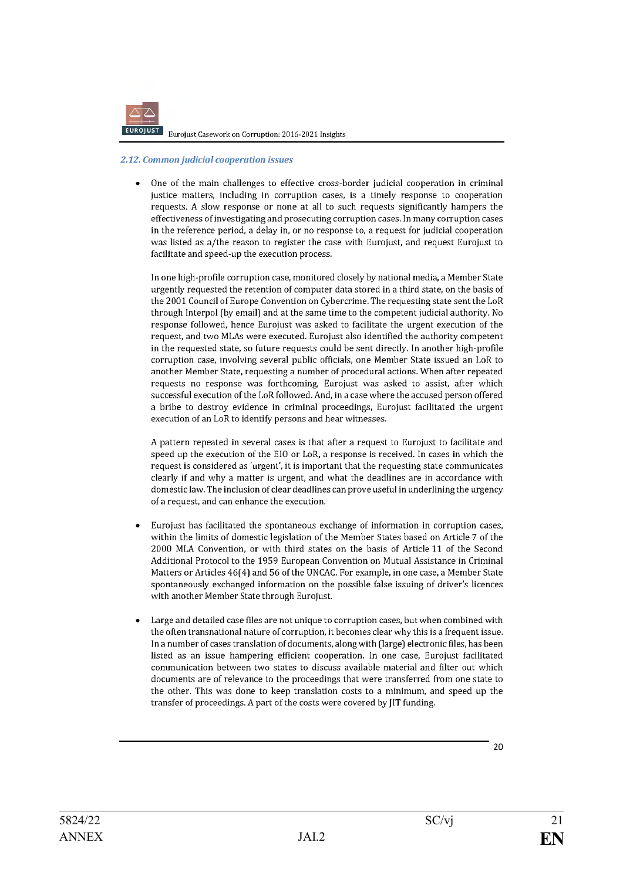

#### 2.12. Common judicial cooperation issues

One of the main challenges to effective cross-border judicial cooperation in criminal  $\bullet$ justice matters, including in corruption cases, is a timely response to cooperation requests. A slow response or none at all to such requests significantly hampers the effectiveness of investigating and prosecuting corruption cases. In many corruption cases in the reference period, a delay in, or no response to, a request for judicial cooperation was listed as a/the reason to register the case with Eurojust, and request Eurojust to facilitate and speed-up the execution process.

In one high-profile corruption case, monitored closely by national media, a Member State urgently requested the retention of computer data stored in a third state, on the basis of the 2001 Council of Europe Convention on Cybercrime. The requesting state sent the LoR through Interpol (by email) and at the same time to the competent judicial authority. No response followed, hence Eurojust was asked to facilitate the urgent execution of the request, and two MLAs were executed. Eurojust also identified the authority competent in the requested state, so future requests could be sent directly. In another high-profile corruption case, involving several public officials, one Member State issued an LoR to another Member State, requesting a number of procedural actions. When after repeated requests no response was forthcoming, Eurojust was asked to assist, after which successful execution of the LoR followed. And, in a case where the accused person offered a bribe to destroy evidence in criminal proceedings, Eurojust facilitated the urgent execution of an LoR to identify persons and hear witnesses.

A pattern repeated in several cases is that after a request to Eurojust to facilitate and speed up the execution of the EIO or LoR, a response is received. In cases in which the request is considered as 'urgent', it is important that the requesting state communicates clearly if and why a matter is urgent, and what the deadlines are in accordance with domestic law. The inclusion of clear deadlines can prove useful in underlining the urgency of a request, and can enhance the execution.

- Eurojust has facilitated the spontaneous exchange of information in corruption cases, within the limits of domestic legislation of the Member States based on Article 7 of the 2000 MLA Convention, or with third states on the basis of Article 11 of the Second Additional Protocol to the 1959 European Convention on Mutual Assistance in Criminal Matters or Articles 46(4) and 56 of the UNCAC. For example, in one case, a Member State spontaneously exchanged information on the possible false issuing of driver's licences with another Member State through Eurojust.
- Large and detailed case files are not unique to corruption cases, but when combined with the often transnational nature of corruption, it becomes clear why this is a frequent issue. In a number of cases translation of documents, along with (large) electronic files, has been listed as an issue hampering efficient cooperation. In one case, Eurojust facilitated communication between two states to discuss available material and filter out which documents are of relevance to the proceedings that were transferred from one state to the other. This was done to keep translation costs to a minimum, and speed up the transfer of proceedings. A part of the costs were covered by JIT funding.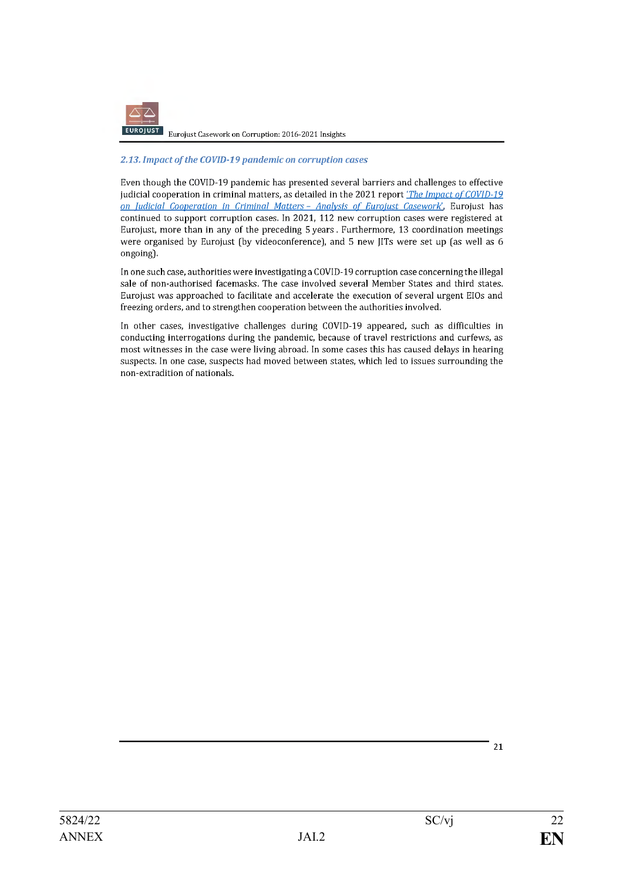

#### 2.13. Impact of the COVID-19 pandemic on corruption cases

Even though the COVID-19 pandemic has presented several barriers and challenges to effective judicial cooperation in criminal matters, as detailed in the 2021 report *The Impact of COVID-19* on Judicial Cooperation in Criminal Matters - Analysis of Eurojust Casework, Eurojust has continued to support corruption cases. In 2021, 112 new corruption cases were registered at Eurojust, more than in any of the preceding 5 years. Furthermore, 13 coordination meetings were organised by Eurojust (by videoconference), and 5 new JITs were set up (as well as 6 ongoing).

In one such case, authorities were investigating a COVID-19 corruption case concerning the illegal sale of non-authorised facemasks. The case involved several Member States and third states. Eurojust was approached to facilitate and accelerate the execution of several urgent EIOs and freezing orders, and to strengthen cooperation between the authorities involved.

In other cases, investigative challenges during COVID-19 appeared, such as difficulties in conducting interrogations during the pandemic, because of travel restrictions and curfews, as most witnesses in the case were living abroad. In some cases this has caused delays in hearing suspects. In one case, suspects had moved between states, which led to issues surrounding the non-extradition of nationals.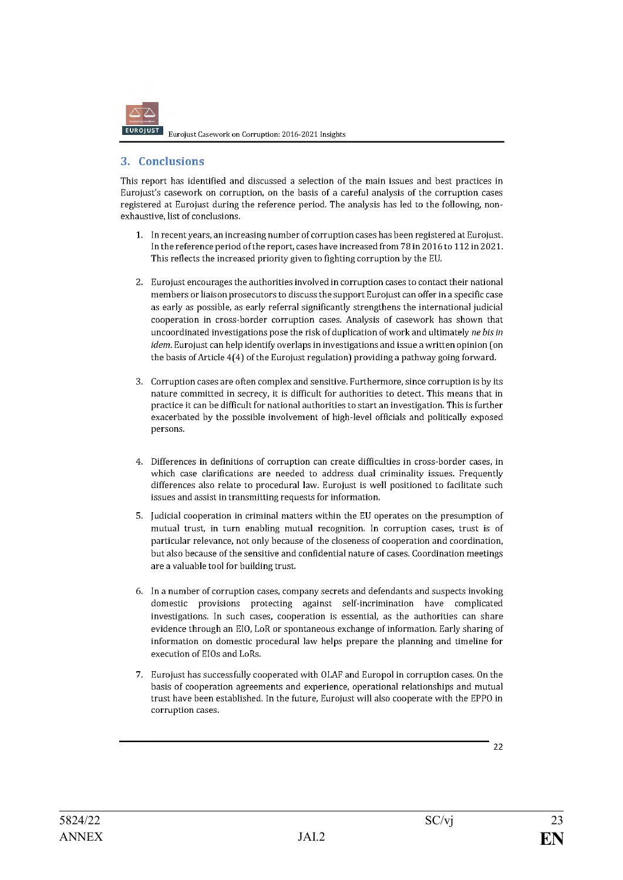

# 3. Conclusions

This report has identified and discussed a selection of the main issues and best practices in Eurojust's casework on corruption, on the basis of a careful analysis of the corruption cases registered at Eurojust during the reference period. The analysis has led to the following, nonexhaustive, list of conclusions.

- 1. In recent years, an increasing number of corruption cases has been registered at Eurojust. In the reference period of the report, cases have increased from 78 in 2016 to 112 in 2021. This reflects the increased priority given to fighting corruption by the EU.
- 2. Eurojust encourages the authorities involved in corruption cases to contact their national members or liaison prosecutors to discuss the support Eurojust can offer in a specific case as early as possible, as early referral significantly strengthens the international judicial cooperation in cross-border corruption cases. Analysis of casework has shown that uncoordinated investigations pose the risk of duplication of work and ultimately ne bis in idem. Eurojust can help identify overlaps in investigations and issue a written opinion (on the basis of Article 4(4) of the Eurojust regulation) providing a pathway going forward.
- 3. Corruption cases are often complex and sensitive. Furthermore, since corruption is by its nature committed in secrecy, it is difficult for authorities to detect. This means that in practice it can be difficult for national authorities to start an investigation. This is further exacerbated by the possible involvement of high-level officials and politically exposed persons.
- 4. Differences in definitions of corruption can create difficulties in cross-border cases, in which case clarifications are needed to address dual criminality issues. Frequently differences also relate to procedural law. Eurojust is well positioned to facilitate such issues and assist in transmitting requests for information.
- 5. Judicial cooperation in criminal matters within the EU operates on the presumption of mutual trust, in turn enabling mutual recognition. In corruption cases, trust is of particular relevance, not only because of the closeness of cooperation and coordination, but also because of the sensitive and confidential nature of cases. Coordination meetings are a valuable tool for building trust.
- 6. In a number of corruption cases, company secrets and defendants and suspects invoking domestic provisions protecting against self-incrimination have complicated investigations. In such cases, cooperation is essential, as the authorities can share evidence through an EIO, LoR or spontaneous exchange of information. Early sharing of information on domestic procedural law helps prepare the planning and timeline for execution of EIOs and LoRs.
- 7. Eurojust has successfully cooperated with OLAF and Europol in corruption cases. On the basis of cooperation agreements and experience, operational relationships and mutual trust have been established. In the future, Eurojust will also cooperate with the EPPO in corruption cases.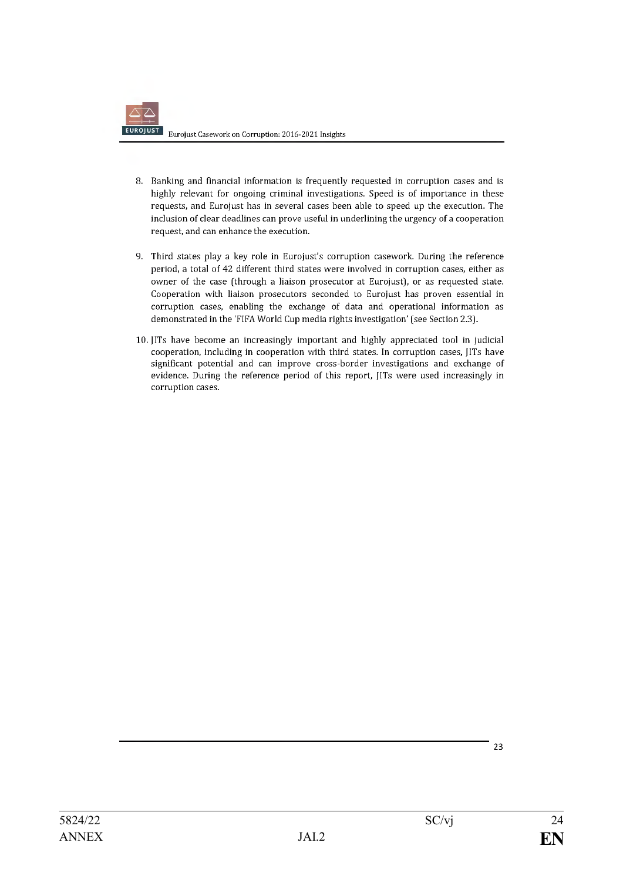- 8. Banking and financial information is frequently requested in corruption cases and is highly relevant for ongoing criminal investigations. Speed is of importance in these requests, and Eurojust has in several cases been able to speed up the execution. The inclusion of clear deadlines can prove useful in underlining the urgency of a cooperation request, and can enhance the execution.
- 9. Third states play a key role in Eurojust's corruption casework. During the reference period, a total of 42 different third states were involved in corruption cases, either as owner of the case (through a liaison prosecutor at Eurojust), or as requested state. Cooperation with liaison prosecutors seconded to Eurojust has proven essential in corruption cases, enabling the exchange of data and operational information as demonstrated in the 'FIFA World Cup media rights investigation' (see Section 2.3).
- 10. [ITs have become an increasingly important and highly appreciated tool in judicial cooperation, including in cooperation with third states. In corruption cases, [ITs have significant potential and can improve cross-border investigations and exchange of evidence. During the reference period of this report, [ITs were used increasingly in corruption cases.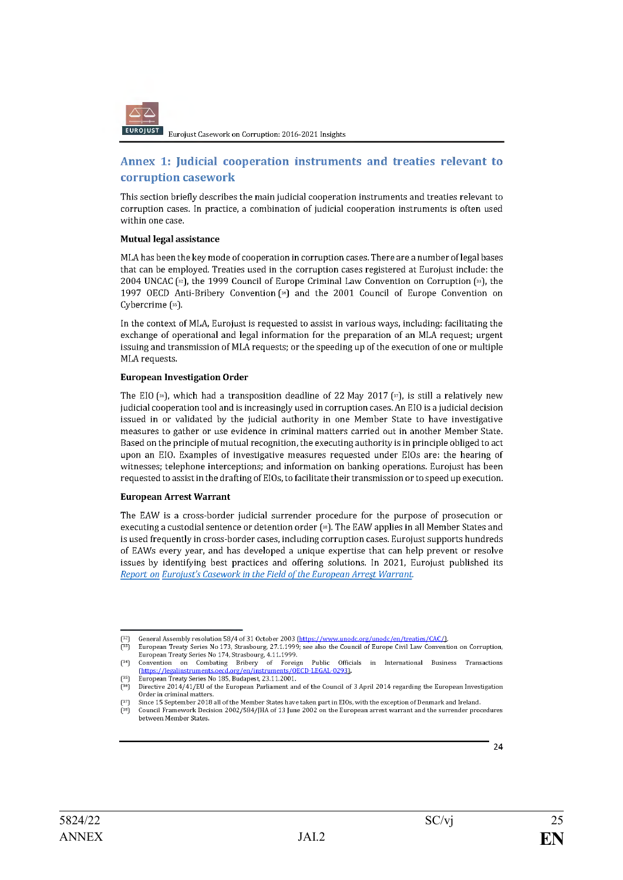

# Annex 1: Judicial cooperation instruments and treaties relevant to corruption casework

This section briefly describes the main judicial cooperation instruments and treaties relevant to corruption cases. In practice, a combination of judicial cooperation instruments is often used within one case.

#### Mutual legal assistance

MLA has been the key mode of cooperation in corruption cases. There are a number of legal bases that can be employed. Treaties used in the corruption cases registered at Eurojust include: the 2004 UNCAC [32], the 1999 Council of Europe Criminal Law Convention on Corruption [33], the 1997 OECD Anti-Bribery Convention [\*] and the 2001 Council of Europe Convention on Cybercrime [35].

In the context of MLA, Eurojust is requested to assist in various ways, including: facilitating the exchange of operational and legal information for the preparation of an MLA request; urgent issuing and transmission of MLA requests; or the speeding up of the execution of one or multiple MLA requests.

#### **European Investigation Order**

The EIO [<sup>36</sup>], which had a transposition deadline of 22 May 2017 [37], is still a relatively new judicial cooperation tool and is increasingly used in corruption cases. An EIO is a judicial decision issued in or validated by the judicial authority in one Member State to have investigative measures to gather or use evidence in criminal matters carried out in another Member State. Based on the principle of mutual recognition, the executing authority is in principle obliged to act upon an EIO. Examples of investigative measures requested under EIOs are: the hearing of witnesses; telephone interceptions; and information on banking operations. Eurojust has been requested to assist in the drafting of EIOs, to facilitate their transmission or to speed up execution.

#### **European Arrest Warrant**

The EAW is a cross-border judicial surrender procedure for the purpose of prosecution or executing a custodial sentence or detention order [38]. The EAW applies in all Member States and is used frequently in cross-border cases, including corruption cases. Eurojust supports hundreds of EAWs every year, and has developed a unique expertise that can help prevent or resolve issues by identifying best practices and offering solutions. In 2021, Eurojust published its Report on Eurojust's Casework in the Field of the European Arrest Warrant.

General Assembly resolution 58/4 of 31 October 2003 (https://www.unodc.org/unodc/en/treaties/CAC/).

European Treaty Series No 173, Strasbourg, 27.1.1999; see also the Council of Europe Civil Law Convention on Corruption,<br>European Treaty Series No 174, Strasbourg, 4.11.1999.  $r331$ 

Public Officials  $[34]$ Convention Combating Bribery of  $\;$  Foreign in International Business Transactions on (https://legalinstruments.oecd.org/en/instruments/OECD-LEGAL-0293) European Treaty Series No 185, Budapest, 23.11.2001.

 $\tilde{f}$ 36) Directive 2014/41/EU of the European Parliament and of the Council of 3 April 2014 regarding the European Investigation Order in criminal matters

Since 15 September 2018 all of the Member States have taken part in EIOs, with the exception of Denmark and Ireland. Council Framework Decision 2002/584/JHA of 13 June 2002 on the European arrest warrant and the surrender procedures between Member States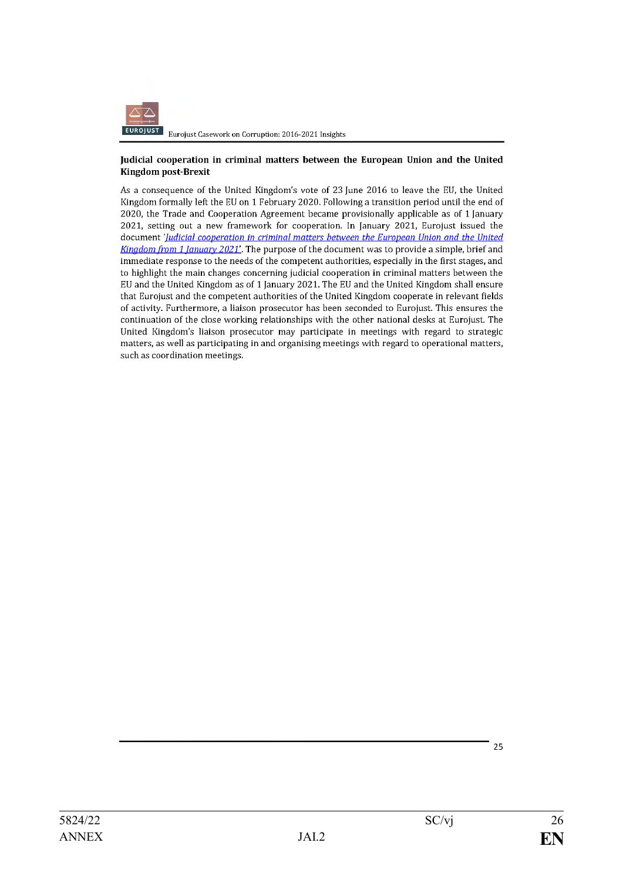

#### Judicial cooperation in criminal matters between the European Union and the United **Kingdom post-Brexit**

As a consequence of the United Kingdom's vote of 23 June 2016 to leave the EU, the United Kingdom formally left the EU on 1 February 2020. Following a transition period until the end of 2020, the Trade and Cooperation Agreement became provisionally applicable as of 1 January 2021, setting out a new framework for cooperation. In [anuary 2021, Eurojust issued the document '*Judicial cooperation in criminal matters between the European Union and the United* Kingdom from 1 January 2021'. The purpose of the document was to provide a simple, brief and immediate response to the needs of the competent authorities, especially in the first stages, and to highlight the main changes concerning judicial cooperation in criminal matters between the EU and the United Kingdom as of 1 January 2021. The EU and the United Kingdom shall ensure that Eurojust and the competent authorities of the United Kingdom cooperate in relevant fields of activity. Furthermore, a liaison prosecutor has been seconded to Eurojust. This ensures the continuation of the close working relationships with the other national desks at Eurojust. The United Kingdom's liaison prosecutor may participate in meetings with regard to strategic matters, as well as participating in and organising meetings with regard to operational matters, such as coordination meetings.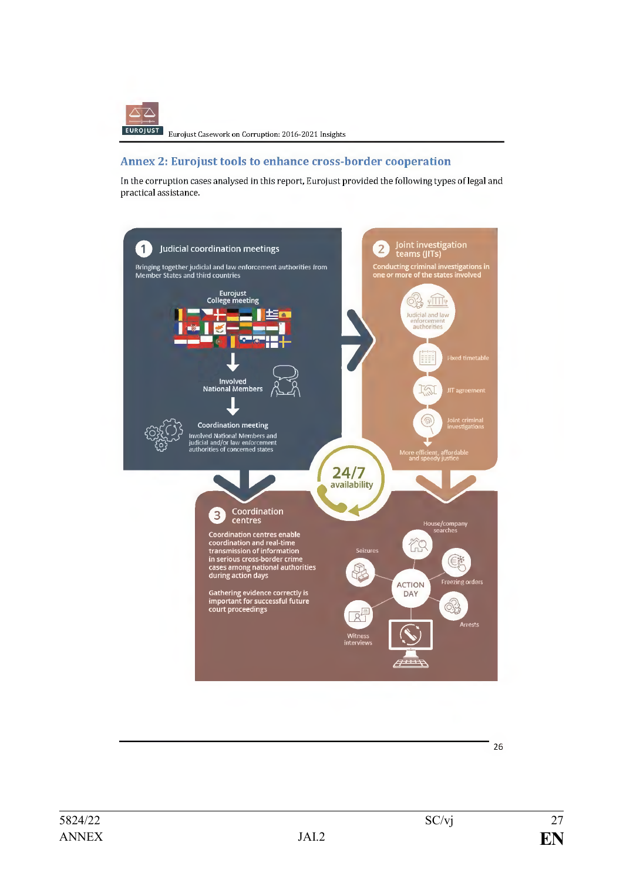

# **Annex 2: Eurojust tools to enhance cross-border cooperation**

In the corruption cases analysed in this report, Eurojust provided the following types of legal and practical assistance.